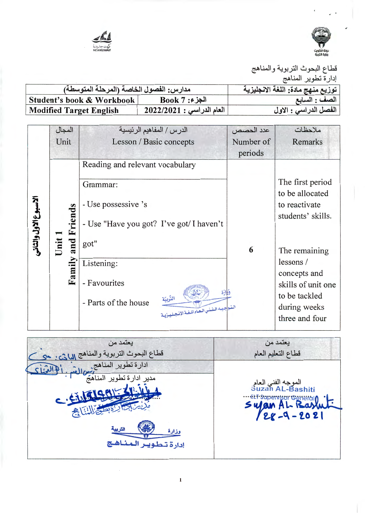



| مدارس: الفصول الخاصة (المرحلة المتوسطة) | توزيع منهج مادة: اللغة الانجليزية |                       |
|-----------------------------------------|-----------------------------------|-----------------------|
| Student's book & Workbook               | $Book 7:$ الجزء                   | الصف : السابع         |
| <b>Modified Target English</b>          | العام الدراسي : 2022/2021         | الفصل الدراسي : الاول |

|                      | المجال      | الدرس / المفاهيم الرئيسية                                                                     | عدد الحصص | ملاحظات                                                                               |
|----------------------|-------------|-----------------------------------------------------------------------------------------------|-----------|---------------------------------------------------------------------------------------|
|                      | Unit        | Lesson / Basic concepts                                                                       | Number of | Remarks                                                                               |
|                      |             |                                                                                               | periods   |                                                                                       |
|                      |             | Reading and relevant vocabulary                                                               |           |                                                                                       |
| لاسبوع الاول والثاني | Friends     | Grammar:<br>- Use possessive 's<br>- Use "Have you got? I've got/ I haven't                   |           | The first period<br>to be allocated<br>to reactivate<br>students' skills.             |
|                      | Unit<br>and | got"                                                                                          | 6         | The remaining                                                                         |
|                      |             | Listening:                                                                                    |           | lessons/                                                                              |
|                      | Family      | - Favourites<br>التربيّة<br>- Parts of the house<br>النتو جيسه الشنس العساء للغية الإنتجيليين |           | concepts and<br>skills of unit one<br>to be tackled<br>during weeks<br>three and four |

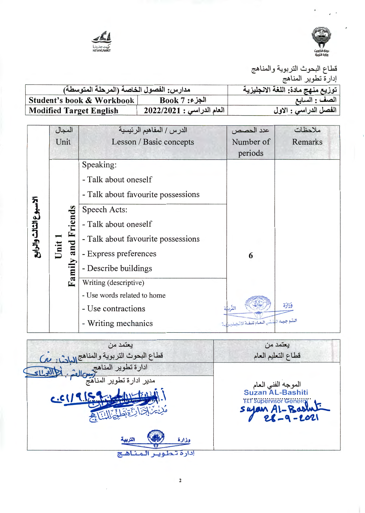



| مدارس: الفصول الخاصة (المرحلة المتوسطة) | توزيع منهج مادة: اللغة الانجليزية |                       |
|-----------------------------------------|-----------------------------------|-----------------------|
| Student's book & Workbook               | $Book 7:$ الجزء                   | الصف : السابع         |
| Modified Target English                 | العام الدراسي : 2022/2021         | الفصل الدراسي : الاول |

|                        | المجال             | الدرس / المفاهيم الرئيسية          | عدد الحصص                                | ملاحظات |
|------------------------|--------------------|------------------------------------|------------------------------------------|---------|
|                        | Unit               | Lesson / Basic concepts            | Number of                                | Remarks |
|                        |                    |                                    | periods                                  |         |
|                        |                    | Speaking:                          |                                          |         |
|                        |                    | - Talk about oneself               |                                          |         |
|                        |                    | - Talk about favourite possessions |                                          |         |
| الاسبوع الثالث والرابع |                    | Speech Acts:                       |                                          |         |
|                        |                    | - Talk about oneself               |                                          |         |
|                        |                    | - Talk about favourite possessions |                                          |         |
|                        | Unit 1             | - Express preferences              | 6                                        |         |
|                        | Family and Friends | - Describe buildings               |                                          |         |
|                        |                    | Writing (descriptive)              |                                          |         |
|                        |                    | - Use words related to home        |                                          |         |
|                        |                    | - Use contractions                 | التذراة                                  | فزارة   |
|                        |                    | - Writing mechanics                | المتسوجييه المنشر العمام للبغية الانستمل |         |

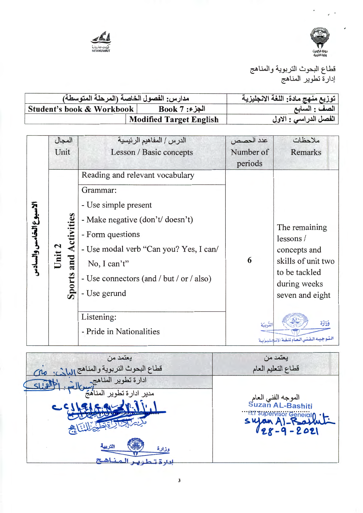



| مدارس: الفصول الخاصة (المرحلة المتوسطة) |                                | توزيع منهج مادة: اللغة الانجليزية |
|-----------------------------------------|--------------------------------|-----------------------------------|
| Student's book & Workbook               | الجزء: Book 7                  | الصف : السابع                     |
|                                         | <b>Modified Target English</b> | الفصل الدراسي : الاول             |

|                       | المجال        | الدرس / المفاهيم الرئيسية                | عدد الحصص | ملاحظات                                           |
|-----------------------|---------------|------------------------------------------|-----------|---------------------------------------------------|
|                       | Unit          | Lesson / Basic concepts                  | Number of | Remarks                                           |
|                       |               |                                          | periods   |                                                   |
|                       |               | Reading and relevant vocabulary          |           |                                                   |
|                       |               | Grammar:                                 |           |                                                   |
|                       |               | - Use simple present                     |           |                                                   |
|                       |               | - Make negative (don't/ doesn't)         |           |                                                   |
| لاسبوع الخامس والسادس | Activities    | - Form questions                         |           | The remaining<br>lessons/                         |
|                       | Unit 2        | - Use modal verb "Can you? Yes, I can/   |           | concepts and                                      |
|                       | and           | No, I can't"                             | 6         | skills of unit two                                |
|                       |               | - Use connectors (and / but / or / also) |           | to be tackled<br>during weeks                     |
|                       | <b>Sports</b> | - Use gerund                             |           | seven and eight                                   |
|                       |               |                                          |           |                                                   |
|                       |               | Listening:                               | التربية   | وَزَارَة                                          |
|                       |               | - Pride in Nationalities                 |           | البتيو جيبه البضني البعبام للبغية الإنسجيليين بسة |
|                       |               |                                          |           |                                                   |

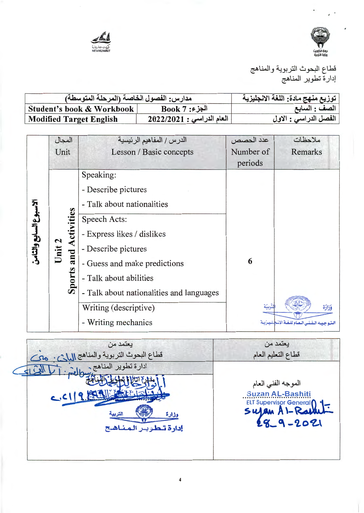



| مدارس: الفصول الخاصة (المرحلة المتوسطة) | توزيع منهج مادة: اللغة الانجليزية |                       |
|-----------------------------------------|-----------------------------------|-----------------------|
| Student's book & Workbook               | $Book 7:$ الجزء                   | الصف : السابع         |
| <b>Modified Target English</b>          | $ 12022/2021:$ العام الدراسي      | الفصل الدراسي : الاول |

|                    | المجال                      | الدرس / المفاهيم الرئيسية                | عدد الحصص | ملاحظات                              |
|--------------------|-----------------------------|------------------------------------------|-----------|--------------------------------------|
|                    | Unit                        | Lesson / Basic concepts                  | Number of | Remarks                              |
|                    |                             |                                          | periods   |                                      |
|                    |                             | Speaking:                                |           |                                      |
|                    |                             | - Describe pictures                      |           |                                      |
|                    |                             | - Talk about nationalities               |           |                                      |
|                    | Activities<br>Unit 2<br>and | Speech Acts:                             |           |                                      |
| بوع السابع والثامن |                             | - Express likes / dislikes               |           |                                      |
|                    |                             | - Describe pictures                      |           |                                      |
|                    |                             | - Guess and make predictions             | 6         |                                      |
|                    | Sports                      | - Talk about abilities                   |           |                                      |
|                    |                             | - Talk about nationalities and languages |           |                                      |
|                    |                             | Writing (descriptive)                    | لتربية    | وَزَارَة                             |
|                    |                             | Writing mechanics<br>۰                   |           | ضغب البعيام للبغية الأنسخ للبعير تسة |

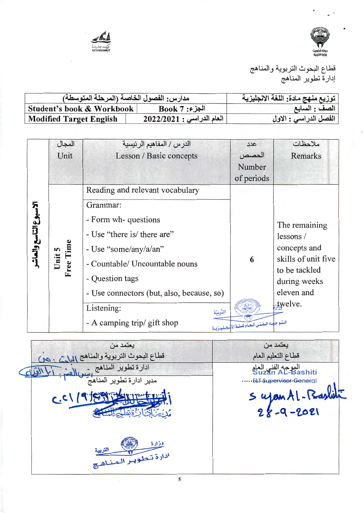



| مدارس: الفصول الخاصة (المرحلة المتوسطة) | توزيع منهج مادة: اللغة الانجليزية |                       |
|-----------------------------------------|-----------------------------------|-----------------------|
| Student's book & Workbook               | $Book 7:$ الجزء                   | الصف : السابع         |
| <b>Modified Target English</b>          | العام الدراسي : 2022/2021         | الفصل الدراسي : الاول |

|                        | المجال              | الدرس / المفاهيم الرئيسية                 | عدد                                        | ملاحظات                              |
|------------------------|---------------------|-------------------------------------------|--------------------------------------------|--------------------------------------|
|                        | Unit                | Lesson / Basic concepts                   | الحصص                                      | Remarks                              |
|                        |                     |                                           | Number                                     |                                      |
|                        |                     |                                           | of periods                                 |                                      |
|                        |                     | Reading and relevant vocabulary           |                                            |                                      |
|                        |                     | Grammar:                                  |                                            |                                      |
|                        |                     | - Form wh-questions                       |                                            | The remaining                        |
| الاسبوع التاسع والعاشر |                     | - Use "there is/ there are"               |                                            | lessons/                             |
|                        |                     | - Use "some/any/a/an"                     |                                            | concepts and                         |
|                        | Unit 5<br>Free Time | - Countable/ Uncountable nouns            | 6                                          | skills of unit five<br>to be tackled |
|                        |                     | - Question tags                           |                                            | during weeks                         |
|                        |                     | - Use connectors (but, also, because, so) |                                            | eleven and                           |
|                        |                     | Listening:<br>التربيّة                    |                                            | twelve.                              |
|                        |                     | - A camping trip/ gift shop               | الستوجيده التفني العيام للغية الإستلييزيية |                                      |